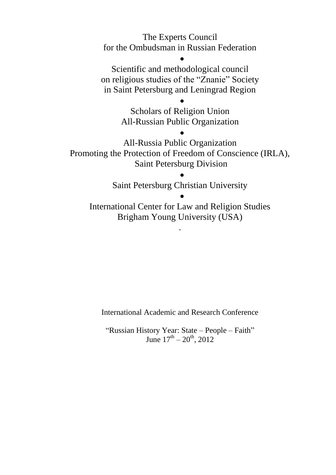The Experts Council for the Ombudsman in Russian Federation

 $\bullet$ 

Scientific and methodological council on religious studies of the "Znanie" Society in Saint Petersburg and Leningrad Region

> Scholars of Religion Union All-Russian Public Organization

> > $\bullet$

 $\bullet$ 

All-Russia Public Organization Promoting the Protection of Freedom of Conscience (IRLA), Saint Petersburg Division

Saint Petersburg Christian University

 $\bullet$ 

 $\bullet$ 

International Center for Law and Religion Studies Brigham Young University (USA)

.

International Academic and Research Conference

"Russian History Year: State – People – Faith" June  $17^{\text{th}} - 20^{\text{th}}$ , 2012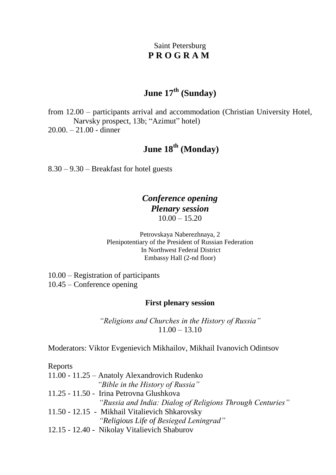### Saint Petersburg **P R O G R A M**

### **June 17th (Sunday)**

from 12.00 – participants arrival and accommodation (Christian University Hotel, Narvsky prospect, 13b; "Azimut" hotel) 20.00. – 21.00 - dinner

## **June 18th (Monday)**

8.30 – 9.30 – Breakfast for hotel guests

### *Conference opening Plenary session*   $10.00 - 15.20$

Petrovskaya Naberezhnaya, 2 Plenipotentiary of the President of Russian Federation In Northwest Federal District Embassy Hall (2-nd floor)

10.00 – Registration of participants 10.45 – Conference opening

#### **First plenary session**

*"Religions and Churches in the History of Russia"*   $11.00 - 13.10$ 

Moderators: Viktor Evgenievich Mikhailov, Mikhail Ivanovich Odintsov

Reports 11.00 - 11.25 – Anatoly Alexandrovich Rudenko  *"Bible in the History of Russia"* 11.25 - 11.50 - Irina Petrovna Glushkova *"Russia and India: Dialog of Religions Through Centuries"* 11.50 - 12.15 - Mikhail Vitalievich Shkarovsky *"Religious Life of Besieged Leningrad"*  12.15 - 12.40 - Nikolay Vitalievich Shaburov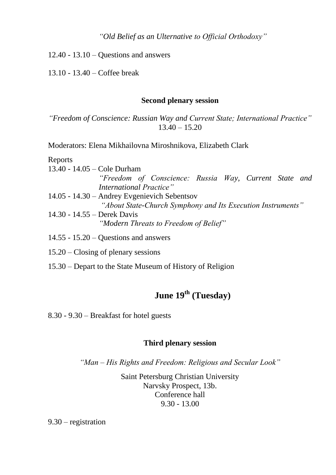*"Old Belief as an Ulternative to Official Orthodoxy"*

12.40 - 13.10 – Questions and answers

13.10 - 13.40 – Coffee break

#### **Second plenary session**

*"Freedom of Conscience: Russian Way and Current State; International Practice"*  $13.40 - 15.20$ 

Moderators: Elena Mikhailovna Miroshnikova, Elizabeth Clark

Reports

| 13.40 - $14.05 -$ Cole Durham                |                         |                                                             |  |  |  |
|----------------------------------------------|-------------------------|-------------------------------------------------------------|--|--|--|
|                                              |                         | "Freedom of Conscience: Russia Way, Current State and       |  |  |  |
|                                              | International Practice" |                                                             |  |  |  |
| 14.05 - 14.30 – Andrey Evgenievich Sebentsov |                         |                                                             |  |  |  |
|                                              |                         | "About State-Church Symphony and Its Execution Instruments" |  |  |  |
| 14.30 - 14.55 – Derek Davis                  |                         |                                                             |  |  |  |

*"Modern Threats to Freedom of Belief"* 

- 14.55 15.20 Questions and answers
- 15.20 Closing of plenary sessions

15.30 – Depart to the State Museum of History of Religion

# **June 19th (Tuesday)**

8.30 - 9.30 – Breakfast for hotel guests

#### **Third plenary session**

*"Man – His Rights and Freedom: Religious and Secular Look"* 

Saint Petersburg Christian University Narvsky Prospect, 13b. Conference hall 9.30 - 13.00

9.30 – registration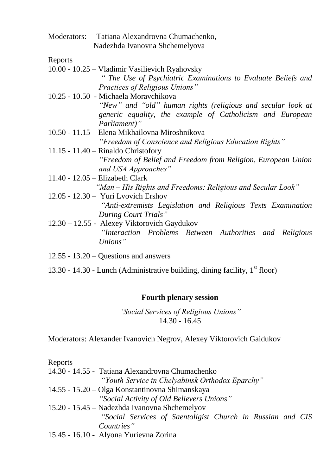| Moderators: | Tatiana Alexandrovna Chumachenko, |
|-------------|-----------------------------------|
|             | Nadezhda Ivanovna Shchemelyova    |

Reports

- 10.00 10.25 Vladimir Vasilievich Ryahovsky *" The Use of Psychiatric Examinations to Evaluate Beliefs and Practices of Religious Unions"*
- 10.25 10.50 Michaela Moravchikova *"New" and "old" human rights (religious and secular look at generic equality, the example of Catholicism and European Parliament)"*
- 10.50 11.15 Elena Mikhailovna Miroshnikova *"Freedom of Conscience and Religious Education Rights"*
- 11.15 11.40 Rinaldo Christofory *"Freedom of Belief and Freedom from Religion, European Union and USA Approaches"*
- 11.40 12.05 Elizabeth Clark
	- *"Man – His Rights and Freedoms: Religious and Secular Look"*
- 12.05 12.30 Yuri Lvovich Ershov *"Anti-extremists Legislation and Religious Texts Examination During Court Trials"*
- 12.30 12.55 Alexey Viktorovich Gaydukov *"Interaction Problems Between Authorities and Religious Unions"*
- 12.55 13.20 Questions and answers
- 13.30 14.30 Lunch (Administrative building, dining facility, 1<sup>st</sup> floor)

#### **Fourth plenary session**

*"Social Services of Religious Unions"*  14.30 - 16.45

Moderators: Alexander Ivanovich Negrov, Alexey Viktorovich Gaidukov

| Reports                                                    |
|------------------------------------------------------------|
| 14.30 - 14.55 - Tatiana Alexandrovna Chumachenko           |
| "Youth Service in Chelyabinsk Orthodox Eparchy"            |
| 14.55 - 15.20 – Olga Konstantinovna Shimanskaya            |
| "Social Activity of Old Believers Unions"                  |
| 15.20 - 15.45 – Nadezhda Ivanovna Shchemelyov              |
| "Social Services of Saentoligist Church in Russian and CIS |
| Countries"                                                 |
| 15.45 - 16.10 - Alyona Yurievna Zorina                     |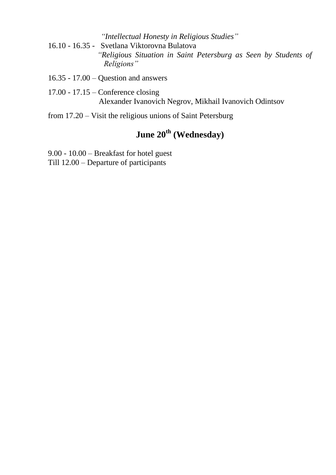- *"Intellectual Honesty in Religious Studies"*
- 16.10 16.35 Svetlana Viktorovna Bulatova *"Religious Situation in Saint Petersburg as Seen by Students of Religions"*
- 16.35 17.00 Question and answers
- 17.00 17.15 Conference closing Alexander Ivanovich Negrov, Mikhail Ivanovich Odintsov
- from 17.20 Visit the religious unions of Saint Petersburg

# **June 20th (Wednesday)**

9.00 - 10.00 – Breakfast for hotel guest Till 12.00 – Departure of participants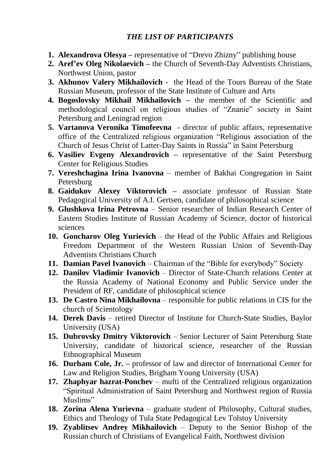### *THE LIST OF PARTICIPANTS*

- **1. Alexandrova Olesya –** representative of "Drevo Zhizny" publishing house
- **2. Aref'ev Oleg Nikolaevich –** the Church of Seventh-Day Adventists Christians, Northwest Union, pastor
- **3. Akhunov Valery Mikhailovich** the Head of the Tours Bureau of the State Russian Museum, professor of the State Institute of Culture and Arts
- **4. Bogoslovsky Mikhail Mikhailovich –** the member of the Scientific and methodological council on religious studies of "Znanie" society in Saint Petersburg and Leningrad region
- **5. Vartanova Veronika Timofeevna**  director of public affairs, representative office of the Centralized religious organization "Religious association of the Church of Jesus Christ of Latter-Day Saints in Russia" in Saint Petersburg
- **6. Vasiliev Evgeny Alexandrovich –** representative of the Saint Petersburg Center for Religious Studies
- **7. Vereshchagina Irina Ivanovna**  member of Bakhai Congregation in Saint Petersburg
- **8. Gaidukov Alexey Viktorovich –** associate professor of Russian State Pedagogical University of A.I. Gertsen, candidate of philosophical science
- **9. Glushkova Irina Petrovna** Senior researcher of Indian Research Center of Eastern Studies Institute of Russian Academy of Science, doctor of historical sciences
- **10. Goncharov Oleg Yurievich** the Head of the Public Affairs and Religious Freedom Department of the Western Russian Union of Seventh-Day Adventists Christians Church
- **11. Damian Pavel Ivanovich** Chairman of the "Bible for everybody" Society
- **12. Danilov Vladimir Ivanovich** Director of State-Church relations Center at the Russia Academy of National Economy and Public Service under the President of RF, candidate of philosophical science
- **13. De Castro Nina Mikhailovna**  responsible for public relations in CIS for the church of Scientology
- **14. Derek Davis** retired Director of Institute for Church-State Studies, Baylor University (USA)
- **15. Dubrovsky Dmitry Viktorovich** Senior Lecturer of Saint Petersburg State University, candidate of historical science, researcher of the Russian Ethnographical Museum
- **16. Durham Cole, Jr. –** professor of law and director of International Center for Law and Religion Studies, Brigham Young University (USA)
- **17. Zhaphyar hazrat-Ponchev** mufti of the Centralized religious organization "Spiritual Administration of Saint Petersburg and Northwest region of Russia Muslims"
- **18. Zorina Alena Yurievna**  graduate student of Philosophy, Cultural studies, Ethics and Theology of Tula State Pedagogical Lev Tolstoy University
- **19. Zyablitsev Andrey Mikhailovich**  Deputy to the Senior Bishop of the Russian church of Christians of Evangelical Faith, Northwest division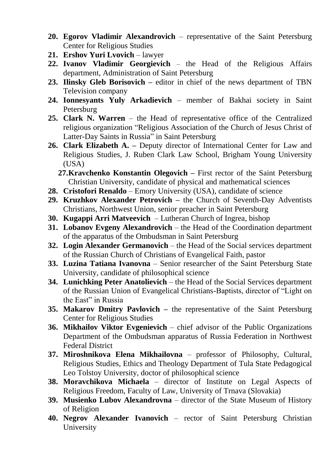- **20. Egorov Vladimir Alexandrovich**  representative of the Saint Petersburg Center for Religious Studies
- 21. **Ershov Yuri Lvovich** lawyer
- **22. Ivanov Vladimir Georgievich** the Head of the Religious Affairs department, Administration of Saint Petersburg
- **23. Ilinsky Gleb Borisovich –** editor in chief of the news department of TBN Television company
- **24. Ionnesyants Yuly Arkadievich**  member of Bakhai society in Saint Petersburg
- **25. Clark N. Warren**  the Head of representative office of the Centralized religious organization "Religious Association of the Church of Jesus Christ of Latter-Day Saints in Russia" in Saint Petersburg
- **26. Clark Elizabeth A. –** Deputy director of International Center for Law and Religious Studies, J. Ruben Clark Law School, Brigham Young University  $(IISA)$ 
	- **27.Kravchenko Konstantin Olegovich –** First rector of the Saint Petersburg Christian University, candidate of physical and mathematical sciences
- **28. Cristofori Renaldo** Emory University (USA), candidate of science
- **29. Kruzhkov Alexander Petrovich –** the Church of Seventh-Day Adventists Christians, Northwest Union, senior preacher in Saint Petersburg
- **30. Kugappi Arri Matveevich**  Lutheran Church of Ingrea, bishop
- **31. Lobanov Evgeny Alexandrovich** the Head of the Coordination department of the apparatus of the Ombudsman in Saint Petersburg
- **32. Login Alexander Germanovich**  the Head of the Social services department of the Russian Church of Christians of Evangelical Faith, pastor
- **33. Luzina Tatiana Ivanovna**  Senior researcher of the Saint Petersburg State University, candidate of philosophical science
- **34. Lunichking Peter Anatolievich**  the Head of the Social Services department of the Russian Union of Evangelical Christians-Baptists, director of "Light on the East" in Russia
- **35. Makarov Dmitry Pavlovich –** the representative of the Saint Petersburg Center for Religious Studies
- **36. Mikhailov Viktor Evgenievich** chief advisor of the Public Organizations Department of the Ombudsman apparatus of Russia Federation in Northwest Federal District
- **37. Miroshnikova Elena Mikhailovna**  professor of Philosophy, Cultural, Religious Studies, Ethics and Theology Department of Tula State Pedagogical Leo Tolstoy University, doctor of philosophical science
- **38. Moravchikova Michaela** director of Institute on Legal Aspects of Religious Freedom, Faculty of Law, University of Trnava (Slovakia)
- **39. Musienko Lubov Alexandrovna**  director of the State Museum of History of Religion
- **40. Negrov Alexander Ivanovich** rector of Saint Petersburg Christian University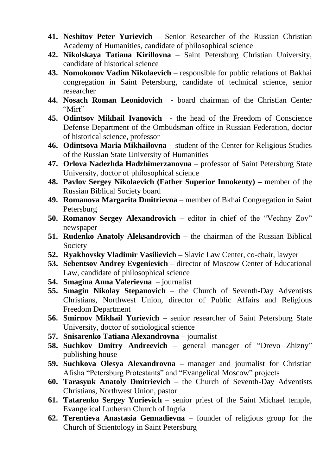- **41. Neshitov Peter Yurievich**  Senior Researcher of the Russian Christian Academy of Humanities, candidate of philosophical science
- **42. Nikolskaya Tatiana Kirillovna** Saint Petersburg Christian University, candidate of historical science
- **43. Nomokonov Vadim Nikolaevich**  responsible for public relations of Bakhai congregation in Saint Petersburg, candidate of technical science, senior researcher
- **44. Nosach Roman Leonidovich -** board chairman of the Christian Center "Mirt"
- **45. Odintsov Mikhail Ivanovich -** the head of the Freedom of Conscience Defense Department of the Ombudsman office in Russian Federation, doctor of historical science, professor
- **46. Odintsova Maria Mikhailovna**  student of the Center for Religious Studies of the Russian State University of Humanities
- **47. Orlova Nadezhda Hadzhimerzanovna**  professor of Saint Petersburg State University, doctor of philosophical science
- **48. Pavlov Sergey Nikolaevich (Father Superior Innokenty) –** member of the Russian Biblical Society board
- **49. Romanova Margarita Dmitrievna**  member of Bkhai Congregation in Saint Petersburg
- **50. Romanov Sergey Alexandrovich**  editor in chief of the "Vechny Zov" newspaper
- **51. Rudenko Anatoly Aleksandrovich –** the chairman of the Russian Biblical Society
- **52. Ryakhovsky Vladimir Vasilievich –** Slavic Law Center, co-chair, lawyer
- **53. Sebentsov Andrey Evgenievich**  director of Moscow Center of Educational Law, candidate of philosophical science
- **54. Smagina Anna Valerievna**  journalist
- **55. Smagin Nikolay Stepanovich** the Church of Seventh-Day Adventists Christians, Northwest Union, director of Public Affairs and Religious Freedom Department
- **56. Smirnov Mikhail Yurievich –** senior researcher of Saint Petersburg State University, doctor of sociological science
- **57. Snisarenko Tatiana Alexandrovna** journalist
- **58. Suchkov Dmitry Andreevich** general manager of "Drevo Zhizny" publishing house
- **59. Suchkova Olesya Alexandrovna**  manager and journalist for Christian Afisha "Petersburg Protestants" and "Evangelical Moscow" projects
- **60. Tarasyuk Anatoly Dmitrievich**  the Church of Seventh-Day Adventists Christians, Northwest Union, pastor
- **61. Tatarenko Sergey Yurievich**  senior priest of the Saint Michael temple, Evangelical Lutheran Church of Ingria
- **62. Terentieva Anastasia Gennadievna**  founder of religious group for the Church of Scientology in Saint Petersburg